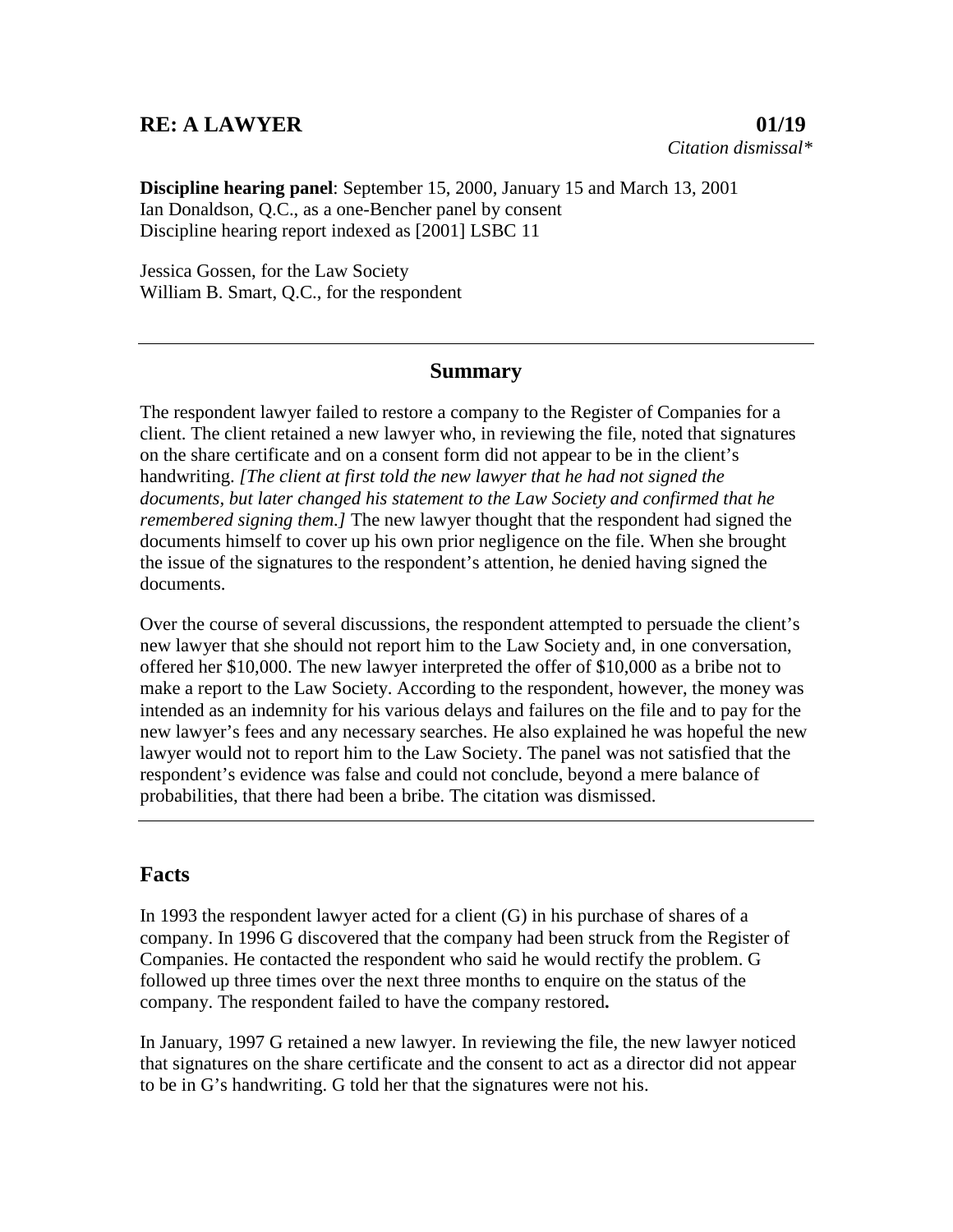## **RE: A LAWYER 01/19**

**Discipline hearing panel**: September 15, 2000, January 15 and March 13, 2001 Ian Donaldson, Q.C., as a one-Bencher panel by consent Discipline hearing report indexed as [2001] LSBC 11

Jessica Gossen, for the Law Society William B. Smart, Q.C., for the respondent

## **Summary**

The respondent lawyer failed to restore a company to the Register of Companies for a client. The client retained a new lawyer who, in reviewing the file, noted that signatures on the share certificate and on a consent form did not appear to be in the client's handwriting. *[The client at first told the new lawyer that he had not signed the documents, but later changed his statement to the Law Society and confirmed that he remembered signing them.]* The new lawyer thought that the respondent had signed the documents himself to cover up his own prior negligence on the file. When she brought the issue of the signatures to the respondent's attention, he denied having signed the documents.

Over the course of several discussions, the respondent attempted to persuade the client's new lawyer that she should not report him to the Law Society and, in one conversation, offered her \$10,000. The new lawyer interpreted the offer of \$10,000 as a bribe not to make a report to the Law Society. According to the respondent, however, the money was intended as an indemnity for his various delays and failures on the file and to pay for the new lawyer's fees and any necessary searches. He also explained he was hopeful the new lawyer would not to report him to the Law Society. The panel was not satisfied that the respondent's evidence was false and could not conclude, beyond a mere balance of probabilities, that there had been a bribe. The citation was dismissed.

## **Facts**

In 1993 the respondent lawyer acted for a client (G) in his purchase of shares of a company. In 1996 G discovered that the company had been struck from the Register of Companies. He contacted the respondent who said he would rectify the problem. G followed up three times over the next three months to enquire on the status of the company. The respondent failed to have the company restored**.**

In January, 1997 G retained a new lawyer. In reviewing the file, the new lawyer noticed that signatures on the share certificate and the consent to act as a director did not appear to be in G's handwriting. G told her that the signatures were not his.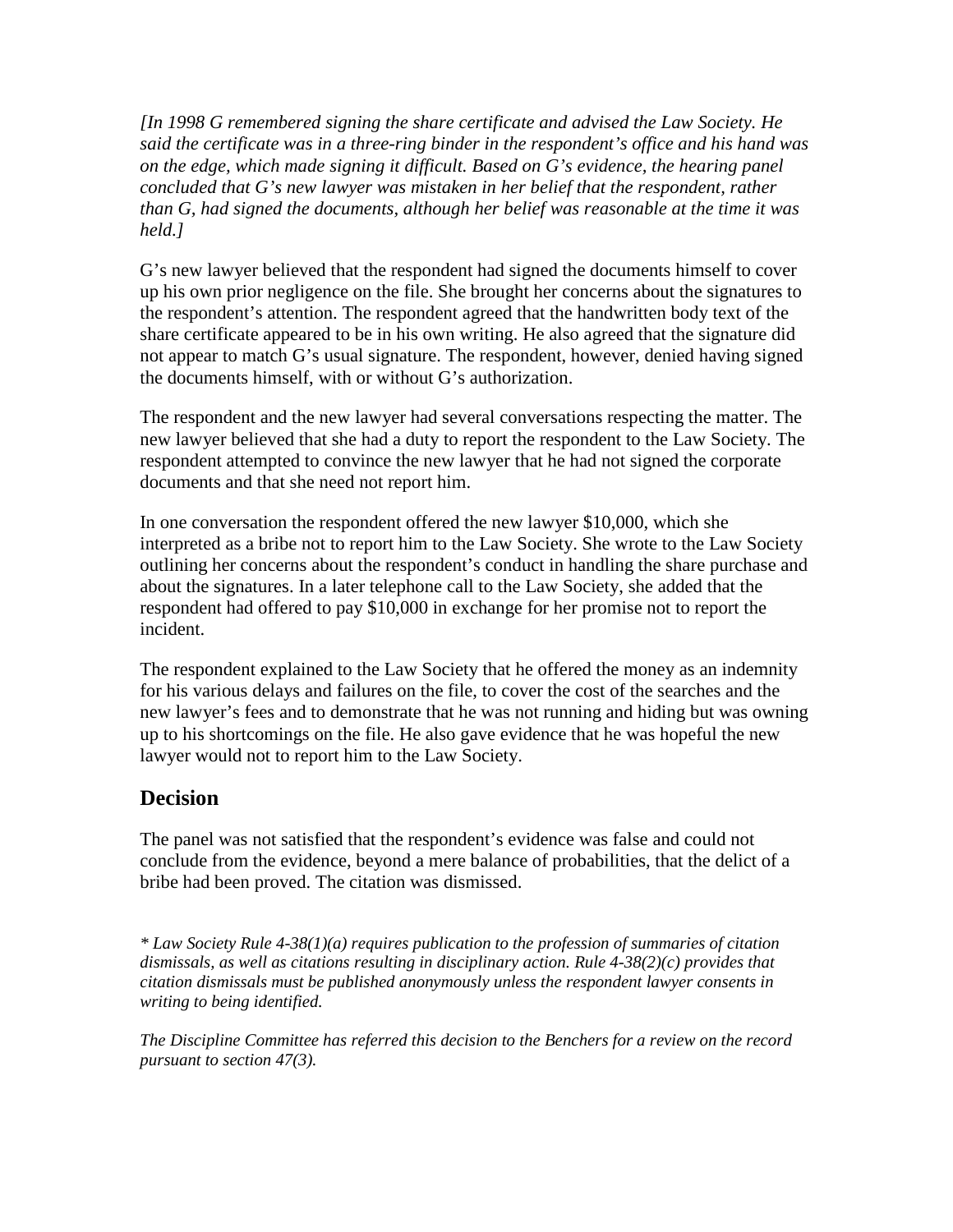*[In 1998 G remembered signing the share certificate and advised the Law Society. He said the certificate was in a three-ring binder in the respondent's office and his hand was on the edge, which made signing it difficult. Based on G's evidence, the hearing panel concluded that G's new lawyer was mistaken in her belief that the respondent, rather than G, had signed the documents, although her belief was reasonable at the time it was held.]*

G's new lawyer believed that the respondent had signed the documents himself to cover up his own prior negligence on the file. She brought her concerns about the signatures to the respondent's attention. The respondent agreed that the handwritten body text of the share certificate appeared to be in his own writing. He also agreed that the signature did not appear to match G's usual signature. The respondent, however, denied having signed the documents himself, with or without G's authorization.

The respondent and the new lawyer had several conversations respecting the matter. The new lawyer believed that she had a duty to report the respondent to the Law Society. The respondent attempted to convince the new lawyer that he had not signed the corporate documents and that she need not report him.

In one conversation the respondent offered the new lawyer \$10,000, which she interpreted as a bribe not to report him to the Law Society. She wrote to the Law Society outlining her concerns about the respondent's conduct in handling the share purchase and about the signatures. In a later telephone call to the Law Society, she added that the respondent had offered to pay \$10,000 in exchange for her promise not to report the incident.

The respondent explained to the Law Society that he offered the money as an indemnity for his various delays and failures on the file, to cover the cost of the searches and the new lawyer's fees and to demonstrate that he was not running and hiding but was owning up to his shortcomings on the file. He also gave evidence that he was hopeful the new lawyer would not to report him to the Law Society.

## **Decision**

The panel was not satisfied that the respondent's evidence was false and could not conclude from the evidence, beyond a mere balance of probabilities, that the delict of a bribe had been proved. The citation was dismissed.

*\* Law Society Rule 4-38(1)(a) requires publication to the profession of summaries of citation dismissals, as well as citations resulting in disciplinary action. Rule 4-38(2)(c) provides that citation dismissals must be published anonymously unless the respondent lawyer consents in writing to being identified.*

*The Discipline Committee has referred this decision to the Benchers for a review on the record pursuant to section 47(3).*